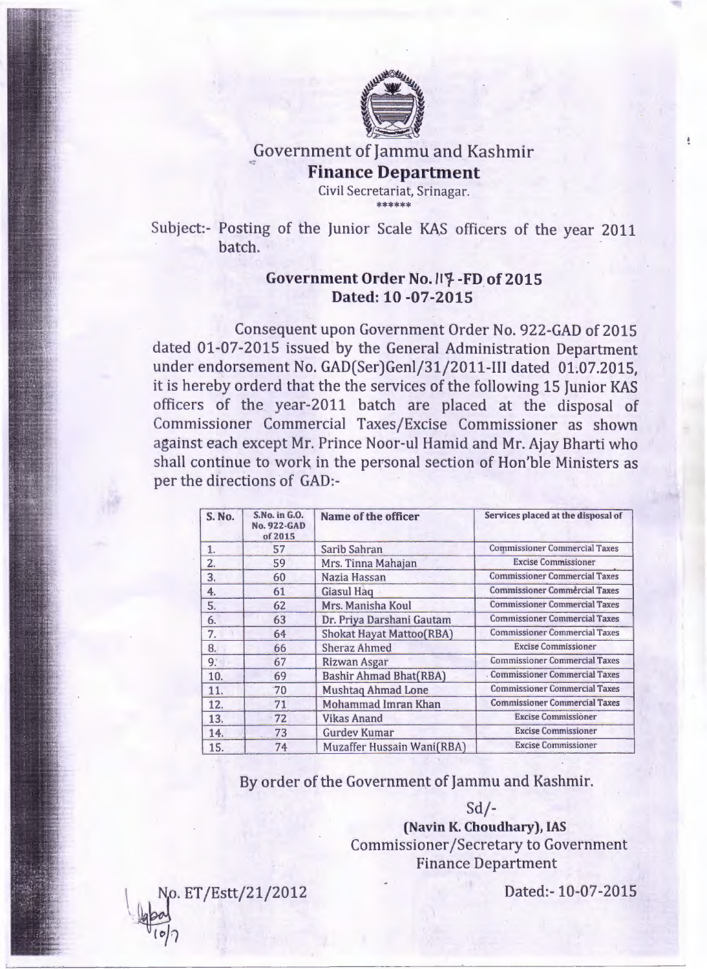

## Government of Jammu and Kashmi **Finance Department**

Civil Secretariat, Srinagar. \*\*\*\*\*\*

Subject:- Posting of the Junior Scale KAS officers of the year 2011 batch.

## **Government Order No./11-FD of 2015 Dated: 10 -07-2015**

Consequent upon Government Order No. 922-GAD of 2015 dated 01-07-2015 issued by the General Administration Department under endorsement No. GAD(Ser)Genl/31/2011-III dated 01.07.2015, it is hereby orderd that the the services of the following 15 Junior KAS officers of the year-2011 batch are placed at the disposal of Commissioner Commercial Taxes/Excise Commissioner as shown against each except Mr. Prince Noor-ul Hamid and Mr. Ajay Bharti who shall continue to work in the personal section of Hon'ble Ministers as per the directions of GAD:-

| <b>S. No.</b> | S.No. in G.O.<br><b>No. 922-GAD</b><br>of 2015 | Name of the officer             | Services placed at the disposal of   |
|---------------|------------------------------------------------|---------------------------------|--------------------------------------|
| 1.            | 57                                             | Sarib Sahran                    | <b>Commissioner Commercial Taxes</b> |
| 2.            | 59                                             | Mrs. Tinna Mahajan              | <b>Excise Commissioner</b>           |
| 3.            | 60                                             | Nazia Hassan                    | <b>Commissioner Commercial Taxes</b> |
| 4.            | 61                                             | <b>Giasul Haq</b>               | <b>Commissioner Commércial Taxes</b> |
| 5.            | 62                                             | Mrs. Manisha Koul               | <b>Commissioner Commercial Taxes</b> |
| 6.            | 63                                             | Dr. Priya Darshani Gautam       | <b>Commissioner Commercial Taxes</b> |
| 7.            | 64                                             | <b>Shokat Hayat Mattoo(RBA)</b> | <b>Commissioner Commercial Taxes</b> |
| 8.            | 66                                             | <b>Sheraz Ahmed</b>             | <b>Excise Commissioner</b>           |
| 9:            | 67                                             | Rizwan Asgar                    | <b>Commissioner Commercial Taxes</b> |
| 10.           | 69                                             | <b>Bashir Ahmad Bhat(RBA)</b>   | <b>Commissioner Commercial Taxes</b> |
| 11.           | $70^{\circ}$                                   | <b>Mushtaq Ahmad Lone</b>       | <b>Commissioner Commercial Taxes</b> |
| 12.           | 71                                             | Mohammad Imran Khan             | <b>Commissioner Commercial Taxes</b> |
| 13.           | 72                                             | <b>Vikas Anand</b>              | <b>Excise Commissioner</b>           |
| 14.           | 73                                             | <b>Gurdev Kumar</b>             | <b>Excise Commissioner</b>           |
| 15.           | 74                                             | Muzaffer Hussain Wani(RBA)      | <b>Excise Commissioner</b>           |

By order of the Government of Jammu and Kashmir.

Sd/-

**(Navin K. Choudhary), IAS** Commissioner /Secretary to Government Finance Department

No. ET/Estt/21/2012 '~  $\sqrt{6}$ 

Dated:- 10-07-2015